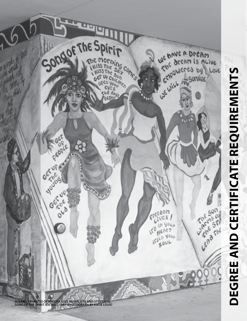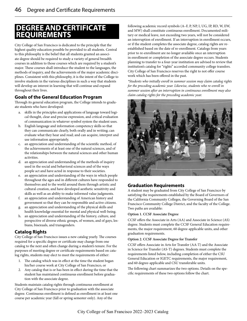# **DEGREE AND CERTIFICATE REQUIREMENTS**

City College of San Francisco is dedicated to the principle that the highest quality education possible be provided to all students. Central to this philosophy is the belief that all students granted an associate degree should be required to study a variety of general breadth courses in addition to those courses which are required by a student's major. These courses shall introduce the student to the languages, the methods of inquiry, and the achievements of the major academic disciplines. Consistent with this philosophy, it is the intent of the College to involve students in the various disciplines in such a way that students will develop an interest in learning that will continue and expand throughout their lives.

### **Goals of the General Education Program**

Through its general education program, the College intends to graduate students who have developed:

- a. skills in the principles and applications of language toward logical thought, clear and precise expression, and critical evaluation of communication in whatever symbol system the student uses.
- b. English language and information competency skills so that they can communicate clearly, both orally and in writing; can evaluate what they hear and read; and can acquire, interpret and use information appropriately.
- c. an appreciation and understanding of the scientific method, of the achievements of at least one of the natural sciences, and of the relationships between the natural sciences and other human activities.
- d. an appreciation and understanding of the methods of inquiry used in the social and behavioral sciences and of the ways people act and have acted in response to their societies.
- e. an appreciation and understanding of the ways in which people throughout the ages and in different cultures have responded to themselves and to the world around them through artistic and cultural creation, and have developed aesthetic sensitivity and skills as well as an ability to make informed value judgments.
- f. an appreciation and understanding of American history and government so that they can be responsible and active citizens.
- g. an appreciation and understanding of the physical skills and health knowledge essential for mental and physical well-being.
- h. an appreciation and understanding of the history, culture, and perspective of diverse ethnic groups, of women, and of gays, lesbians, bisexuals, and transgenders.

### **Catalog Rights**

City College of San Francisco issues a new catalog yearly. The courses required for a specific degree or certificate may change from one catalog to the next and often change during a student's tenure. For the purposes of meeting degree or certificate requirements based on catalog rights, students may elect to meet the requirements of either:

- 1. The catalog which was in effect at the time the student began his/her course work at City College of San Francisco, or
- 2. Any catalog that is or has been in effect during the time that the student has maintained continuous enrollment before graduation with the associate degree.

Students maintain catalog rights through continuous enrollment at City College of San Francisco prior to graduation with the associate degree. Continuous enrollment is defined as enrollment in at least one course per academic year (fall or spring semester only). Any of the

following academic record symbols (A–F, P, NP, I, UG, IP, RD, W, EW, and MW) shall constitute continuous enrollment. Documented military or medical leave, not exceeding two years, will not be considered an interruption of enrollment. If an interruption in enrollment occurs, or if the student completes the associate degree, catalog rights are reestablished based on the date of re-enrollment. Catalogs from years prior to re-enrollment are no longer available once an interruption in enrollment or completion of the associate degree occurs. Students planning to transfer to a four-year institution are advised to review that institution's catalog for "rights" accorded community college transfers. City College of San Francisco reserves the right to not offer course work which has been offered in the past.

*\*Students who initially enroll in summer session may claim catalog rights for the preceding academic year. Likewise, students who re-enroll in summer session after an interruption in continuous enrollment may also claim catalog rights for the preceding academic year.*



### **Graduation Requirements**

A student may be graduated from City College of San Francisco by satisfying the requirements established by the Board of Governors of the California Community Colleges, the Governing Board of the San Francisco Community College District, and the faculty of the College. Two paths are available:

#### **Option 1. CCSF Associate Degree**

CCSF offers the Associate in Arts (AA) and Associate in Science (AS) degree. Students must complete the CCSF General Education requirements, the major requirement, 60 degree-applicable units, and other graduation requirements.

#### **Option 2. CCSF Associate Degree for Transfer**

CCSF offers Associate in Arts for Transfer (AA-T) and the Associate in Science for Transfer (AS-T) degrees. Students must complete the requirements listed below, including completion of either the CSU General Education or IGETC requirements, the major requirement, and 60 degree-applicable and CSU transferable units.

The following chart summarizes the two options. Details on the specific requirements of these two options follow the chart.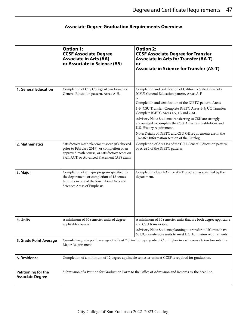## **Associate Degree Graduation Requirements Overview**

|                                                | <b>Option 1:</b><br><b>CCSF Associate Degree</b><br><b>Associate in Arts (AA)</b><br>or Associate in Science (AS)                                                                              | <b>Option 2:</b><br><b>CCSF Associate Degree for Transfer</b><br><b>Associate in Arts for Transfer (AA-T)</b><br>or<br><b>Associate in Science for Transfer (AS-T)</b>                                                                                                                                                                                                                                                                                                                                                                                     |
|------------------------------------------------|------------------------------------------------------------------------------------------------------------------------------------------------------------------------------------------------|------------------------------------------------------------------------------------------------------------------------------------------------------------------------------------------------------------------------------------------------------------------------------------------------------------------------------------------------------------------------------------------------------------------------------------------------------------------------------------------------------------------------------------------------------------|
| 1. General Education                           | Completion of City College of San Francisco<br>General Education pattern, Areas A-H.                                                                                                           | Completion and certification of California State University<br>(CSU) General Education pattern, Areas A-F<br><b>or</b><br>Completion and certification of the IGETC pattern, Areas<br>1-6 (CSU Transfer: Complete IGETC Areas 1-5; UC Transfer:<br>Complete IGETC Areas 1A, 1B and 2-6).<br>Advisory Note: Students transferring to CSU are strongly<br>encouraged to complete the CSU American Institutions and<br>U.S. History requirement.<br>Note: Details of IGETC and CSU GE requirements are in the<br>Transfer Information section of the Catalog. |
| 2. Mathematics                                 | Satisfactory math placement score (if achieved<br>prior to February 2019), or completion of an<br>approved math course, or satisfactory score on<br>SAT, ACT, or Advanced Placement (AP) exam. | Completion of Area B4 of the CSU General Education pattern,<br>or Area 2 of the IGETC pattern.                                                                                                                                                                                                                                                                                                                                                                                                                                                             |
| 3. Major                                       | Completion of a major program specified by<br>the department; or completion of 18 semes-<br>ter units in one of the four Liberal Arts and<br>Sciences Areas of Emphasis.                       | Completion of an AA-T or AS-T program as specified by the<br>department.                                                                                                                                                                                                                                                                                                                                                                                                                                                                                   |
| 4. Units                                       | A minimum of 60 semester units of degree<br>applicable courses.                                                                                                                                | A minimum of 60 semester units that are both degree applicable<br>and CSU transferable.<br>Advisory Note: Students planning to transfer to UC must have<br>60 UC-transferable units to meet UC Admission requirements.                                                                                                                                                                                                                                                                                                                                     |
| 5. Grade Point Average                         | Cumulative grade point average of at least 2.0, including a grade of C or higher in each course taken towards the<br>Major Requirement.                                                        |                                                                                                                                                                                                                                                                                                                                                                                                                                                                                                                                                            |
| 6. Residence                                   | Completion of a minimum of 12 degree applicable semester units at CCSF is required for graduation.                                                                                             |                                                                                                                                                                                                                                                                                                                                                                                                                                                                                                                                                            |
| Petitioning for the<br><b>Associate Degree</b> | Submission of a Petition for Graduation Form to the Office of Admission and Records by the deadline.                                                                                           |                                                                                                                                                                                                                                                                                                                                                                                                                                                                                                                                                            |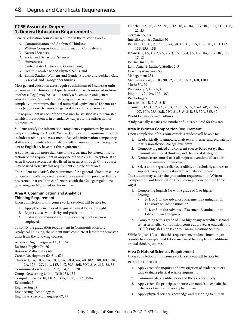### **CCSF Associate Degree 1. General Education Requirements**

General education courses are required in the following areas:

- A. Communication and Analytical Thinking,
- B. Written Composition and Information Competency,
- C. Natural Sciences,
- D. Social and Behavioral Sciences,
- E. Humanities,
- F. United States History and Government,
- G. Health Knowledge and Physical Skills, and
- H. Ethnic Studies; Women's and Gender Studies; and Lesbian, Gay, Bisexual, and Transgender Studies.

Most general education areas require a minimum of 3 semester units of coursework. However, a 4 quarter-unit course (transferred in from another college) may be used to satisfy a 3-semester-unit general education area. Students transferring in quarter-unit courses must complete, at minimum, the total numerical equivalent of 18 semester units (e.g., 27 quarter units) of general education coursework.

The requirement in each of the areas may be satisfied in any semester in which the student is in attendance, subject to the satisfaction of prerequisites.

Students satisfy the information competency requirement by successfully completing the Area B: Written Composition requirement, which includes teaching and assessment of specific information competency skill areas. Students who transfer in with a course approved as equivalent to English 1A have met this requirement.

A course listed in more than one of the areas may be offered in satisfaction of the requirement in only one of those areas. Exception: If an Area H course selected is also listed in Areas A through G, the course may be used to satisfy this requirement and one other area.

The student may satisfy the requirement for a general education course or courses by offering credit earned by examination, provided that he has earned that credit in conformance with the College regulations governing credit granted in this manner.

#### **Area A: Communication and Analytical Thinking Requirement**

Upon completion of this coursework, a student will be able to:

- 1. Apply the principles of language toward logical thought.
- 2. Express ideas with clarity and precision.
- 3. Evaluate communications in whatever symbol system is employed.

To satisfy the graduation requirement in Communication and Analytical Thinking, the student must complete at least three semester units from the following courses:

American Sign Language 1A, 1B, 2A

Business English 74, 76

Business Mathematics 68

Career Development 60, 61\*, 62\*

Chinese 1, 1A, 1B, 2, 2A, 2B, 3, 3A, 3B, 4, 4A, 4B, 10A, 10B, 10C, 10D, 12A, 12B, 12C, 14A, 14B, 14C, 30A, 30B, 30C, 31A, 31B, 32, 38

Communication Studies 1A, 2, 3, 4, 6, 12, 20

Comp. Networking & Info. Tech 131, 132

Computer Science 10, 110A, 130A, 131B, 132A, 150A

Economics 5

Engineering 38

Engineering Technology 50

English as a Second Language 67, 79

French 1, 1A, 1B, 2, 2A, 2B, 3, 3A, 3B, 4, 10A, 10B, 10C, 10D, 11A, 11B,  $22, 23$ 

German 1A, 1B

Interdisciplinary Studies 50

Italian 1, 1A, 1B, 2, 2A, 2B, 3A, 3B, 4A, 4B, 10A, 10B, 10C, 10D, 11A, 11B, 15A, 15B

Japanese 1, 1A, 1B, 2, 2A, 2B, 3, 3A, 3B, 4, 4A, 4B, 10A, 10B, 10C, 16, 17, 18

Journalism 19, 26

Latin Amer & Latino/a Studies 2, 5

Learning Assistance 50

Management 234

Mathematics 70, 75, 80, 90, 92, 95, 98, 100A, 108, 110A

Music 3A, 29

Philosophy 2, 4, 12A, 40

Pilipino 1, 2, 10A, 10B, 10C

Psychology 5

Russian 1A, 1B, 21A, 21B Spanish 1, 1A, 1B, 2, 2A, 2B, 3, 3A, 3B, 5, 5S, 6, 6A, 6B, 7, 10A, 10B, 10C, 10D, 22A, 22B, 22C, 31, 31A, 31B, 32, 32A, 32B, 42

World Languages and Cultures 100

\*Only partially satisfies the number of units required for this area

#### **Area B: Written Composition Requirement**

Upon completion of this coursework, a student will be able to:

- 1. Read critically to annotate, analyze, synthesize, and evaluate primarily non-fiction, college-level texts.
- 2. Compose organized and coherent source-based essays that demonstrate critical thinking and rhetorical strategies.
- 3. Demonstrate control over all major conventions of standard English grammar and punctuation.
- 4. Select and integrate reliable, credible, and scholarly sources to support essays, using a standardized citation format.

The student may satisfy the graduation requirement in Written Composition and Information Competency in one of these three ways:

- 1. Completing English 1A with a grade of C or higher
- 2. Scoring:
	- 3, 4, or 5 on the Advanced Placement Examination in Language & Composition; or
	- 3, 4, or 5 on the Advanced Placement Examination in Literature and Language.
- 3. Completing with a grade of C or higher any accredited second semester English composition course approved as equivalent to CCSF's English 1B or 1C or to Communications Studies 2.

While English 1A satisfies this requirement, students intending to transfer to a four-year institution may need to complete an additional critical thinking course.

#### **Area C: Natural Sciences Requirement**

Upon completion of this coursework, a student will be able to:

PHYSICAL SCIENCE

- 1. Apply scientific inquiry and investigation of evidence to critically evaluate physical science arguments.
- 2. Communicate scientific ideas and theories effectively.
- 3. Apply scientific principles, theories, or models to explain the behavior of natural physical phenomena.
- 4. Apply physical science knowledge and reasoning to human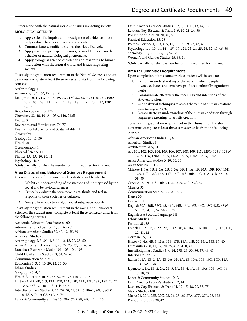interaction with the natural world and issues impacting society. BIOLOGICAL SCIENCE

- 1. Apply scientific inquiry and investigation of evidence to critically evaluate biological science arguments.
- 2. Communicate scientific ideas and theories effectively.
- 3. Apply scientific principles, theories, or models to explain the behavior of natural biological phenomena.
- 4. Apply biological science knowledge and reasoning to human interaction with the natural world and issues impacting society.

To satisfy the graduation requirement in the Natural Sciences, the student must complete **at least three semester units** from the following courses:

- Anthropology 1
- Astronomy 1, 4, 16\*, 17, 18, 19
- Biology 9, 10, 11, 12, 14, 15, 19, 20, 21M, 32, 33, 40, 51, 53, 61, 100A, 100B, 106, 108, 111, 112, 114, 118, 118B, 119, 120, 121\*, 130\*, 132, 134

Biotechnology 4, 115, 120

Chemistry 32, 40, 101A, 103A, 110, 212B

Energy 3

Environmental Horticulture 76, 77

Environmental Science and Sustainability 31

Geography 1 Geology 10, 11, 30

Health 70

Oceanography 1

Physical Science 11

Physics 2A, 4A, 10, 20, 41

Psychology 1B, 50 \*Only partially satisfies the number of units required for this area

#### **Area D: Social and Behavioral Sciences Requirement**

Upon completion of this coursework, a student will be able to:

- 1. Exhibit an understanding of the methods of inquiry used by the social and behavioral sciences.
- 2. Critically evaluate the ways people act, think, and feel in response to their societies or cultures.
- 3. Analyze how societies and/or social subgroups operate.

To satisfy the graduation requirement in the Social and Behavioral Sciences, the student must complete **at least three semester units** from the following courses.

Academic Achievmt Pers Success 100 Administration of Justice 57, 59, 65, 67 African American Studies 30, 40, 42, 55, 60 American Studies 5 Anthropology 2, 3, 3C, 4, 8, 11, 12, 15, 20, 25, 50 Asian American Studies 1, 8, 20, 22, 23, 27, 35, 40, 42 Broadcast Electronic Media 101, 103, 104, 105 Child Dev/Family Studies 53, 61, 67, 68 Communication Studies 5 Economics 1, 3, 6, 15, 20, 22, 25, 30 Ethnic Studies 37 Geography 3, 4, 7 Health Education 10, 30, 48, 52, 54, 97, 110, 221, 231 History 1, 4A, 4B, 5, 9, 12A, 12B, 15A, 15B, 17A, 17B, 18A, 18B, 20, 21, 35A, 35B, 37, 40, 41A, 41B, 45, 49 Interdisciplinary Studies 7, 17, 29, 30, 31, 37, 45, 80A\*, 80C\*, 80D\*, 80E\*, 80F\*, 80G\*, 81A, 81B\* Labor & Community Studies 15, 70A, 70B, 88, 96C, 114, 115

Latin Amer & Latino/a Studies 1, 2, 9, 10, 11, 13, 14, 15 Lesbian, Gay, Bisexual & Trans 5, 9, 10, 21, 24, 50 Philippine Studies 20, 30, 40, 50 Physical Education 13, 28 Political Science 1, 2, 3, 4, 5, 12, 15, 18, 19, 22, 43, 45 Psychology 1, 4, 10, 11, 14\*, 15\*, 17\*, 21, 23, 24, 25, 26, 32, 40, 46, 50 Sociology 1, 2, 3, 11, 25, 35, 52, 55 Women's and Gender Studies 25, 35, 54

\*Only partially satisfies the number of units required for this area.

#### **Area E: Humanities Requirement**

Upon completion of this coursework, a student will be able to:

- 1. Exhibit an understanding of the ways in which people in diverse cultures and eras have produced culturally significant works.
- 2. Communicate effectively the meanings and intentions of creative expression.
- 3. Use analytical techniques to assess the value of human creations in meaningful ways.
- 4. Demonstrate an understanding of the human condition through language, reasoning, or artistic creation.

To satisfy the graduation requirement in the Humanities, the student must complete **at least three semester units** from the following courses:

African American Studies 55, 60

American Studies 5

Architecture 31A, 31B

Art 101, 102, 103, 104, 105, 106, 107, 108, 109, 118, 123Q, 123V, 123W, 125A, 126, 130A, 140A, 146A, 150A, 160A, 170A, 180A

Asian American Studies 6, 10, 30, 35

Asian Studies 11, 15, 30

- Chinese 1, 1A, 1B, 2, 2A, 2B, 3, 3A, 3B, 4, 4A, 4B, 10A, 10B, 10C, 10D, 12A, 12B, 12C, 14A, 14B, 14C, 30A, 30B, 30C, 31A, 31B, 32, 33, 38, 39
- Cinema 18, 19, 20A, 20B, 21, 22, 23A, 23B, 23C, 57

Classics 35

Communication Studies 5, 7, 8, 38, 50

Dance 30 Design 101

English 30A, 30B, 35G, 43, 44A, 44B, 46A, 46B, 46C, 48C, 48K, 48W, 51, 52, 54, 55, 57, 58, 61, 62

English as a Second Language 188

Ethnic Studies 37

Fashion 23, 55

French 1, 1A, 1B, 2, 2A, 2B, 3, 3A, 3B, 4, 10A, 10B, 10C, 10D, 11A, 11B, 22, 41, 42

German 1A, 1B

History 1, 4A, 4B, 5, 15A, 15B, 17B, 18A, 18B, 20, 35A, 35B, 37, 40

Humanities 7, 8, 11, 12, 20, 25, 41A, 41B, 48

Interdisciplinary Studies 3, 4, 14, 27B, 29, 30, 36, 37, 46, 47

- Interior Design 138
- Italian 1, 1A, 1B, 2, 2A, 2B, 3A, 3B, 4A, 4B, 10A, 10B, 10C, 10D, 11A, 11B, 15A, 15B
- Japanese 1, 1A, 1B, 2, 2A, 2B, 3, 3A, 3B, 4, 4A, 4B, 10A, 10B, 10C, 16, 17, 18, 39

Labor & Community Studies 104A

- Latin Amer & Latino/a Studies 1, 2, 14
- Lesbian, Gay, Bisexual & Trans 11, 12, 15, 18, 20, 55, 75

Maker Studies 100

Music 21, 22A, 22B, 22C, 23, 24, 25, 26, 27A, 27Q, 27R, 28, 128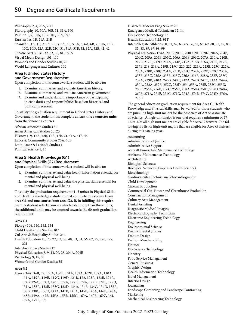Philosophy 2, 4, 25A, 25C Photography 40, 50A, 50B, 51, 81A, 100 Pilipino 1, 2, 10A, 10B, 10C, 39A, 39B Russian 1A, 1B, 21A, 21B Spanish 1, 1A, 1B, 2, 2A, 2B, 3, 3A, 3B, 5, 5S, 6, 6A, 6B, 7, 10A, 10B, 10C, 10D, 22A, 22B, 22C, 31, 31A, 31B, 32, 32A, 32B, 41, 42 Theatre Arts 30, 31, 32, 33, 80, 81, 150A Visual Media Design 101, 110 Women's and Gender Studies 10, 20 World Languages and Cultures 100

#### **Area F: United States History and Government Requirement**

Upon completion of this coursework, a student will be able to:

- 1. Examine, summarize, and evaluate American history.
- 2. Examine, summarize, and evaluate American government.
- 3. Examine and understand the importance of participating in civic duties and responsibilities based on historical and political precedent

To satisfy the graduation requirement in United States History and Government, the student must complete **at least three semester units** from the following courses:

African American Studies 60 Asian American Studies 20, 23 History 1, 9, 12A, 12B, 17A, 17B, 21, 41A, 41B, 45 Labor & Community Studies 70A, 70B Latin Amer & Latino/a Studies 1 Political Science 1, 15

### **Area G: Health Knowledge (G1) and Physical Skills (G2) Requirement**

Upon completion of this coursework, a student will be able to:

- 1. Examine, summarize, and value health information essential for mental and physical well-being.
- 2. Examine, summarize, and value the physical skills essential for mental and physical well-being.

To satisfy the graduation requirement (1–3 units) in Physical Skills and Health Knowledge a student must complete **one course from area G1** and **one course from area G2.** If, in fulfilling this requirement, a student selects courses which total more than three units, the additional units may be counted towards the 60-unit graduation requirement.

#### **Area G1**

Biology 106, 130, 132, 134 Child Dev/Family Studies 107 Cul Arts & Hospitality Studies 244 Health Education 10, 25, 27, 33, 38, 48, 53, 54, 56, 67, 97, 120, 177,  $221$ Interdisciplinary Studies 17 Physical Education 8, 9, 14, 20, 28, 204A, 204B Psychology 9, 17, 50 Women's and Gender Studies 55

#### **Area G2**

Dance 34A, 34B, 37, 100A, 100B, 101A, 102A, 102B, 107A, 110A, 111A, 119A, 119B, 119C, 119D, 121B, 122, 123A, 123B, 124A, 124B, 124C, 124D, 126B, 127A, 127B, 129A, 129B, 129C, 129D, 131A, 133A, 133B, 133C, 133D, 134A, 134B, 134C, 134D, 138A, 138B, 138C, 138D, 141A, 141B, 145A, 145B, 146A, 146B, 148A, 148B, 149A, 149B, 155A, 155B, 155C, 160A, 160B, 160C, 161, 172A, 172B, 173

Disabled Students Prog & Serv 20

- Emergency Medical Technician 12, 14
- Fire Science Technology 17
- Health Education 91M, 91T
- Intercollegiate Athletics 60, 61, 62, 63, 65, 66, 67, 68, 69, 80, 81, 82, 83, 85, 88, 89, 97, 98, 99
- Physical Education 174A, 200B, 200C, 200D, 200E, 202, 204A, 204B, 204C, 205A, 205B, 205C, 206A, 206B, 206C, 207A, 210A, 210B, 212B, 212C, 212D, 214A, 214B, 215A, 215B, 216A, 216B, 217A, 217B, 218, 219A, 219B, 219C, 220, 222, 223A, 223B, 223C, 225A, 230A, 230B, 230C, 231A, 231B, 231C, 232A, 232B, 232C, 233A, 233B, 233C, 235A, 235B, 235C, 236A, 236B, 238A, 238B, 238C, 239A, 239B, 240A, 240B, 240C, 242A, 242B, 242C, 243A, 244A, 250A, 252A, 252B, 252C, 252D, 254, 255A, 255B, 255C, 255D, 255E, 256A, 256B, 256C, 256D, 258A, 258B, 258C, 258D, 260A, 260B, 271A, 271B, 271C, 271D, 274A, 274B, 274C, 274D, 276A, 276B

The general education graduation requirement for Area G, Health Knowledge and Physical Skills, may be waived for those students who are pursuing high-unit majors for the Associate of Art or Associate of Science. A high-unit major is one that requires a minimum of 27 units. Not all high unit majors are eligible for Area G waivers. The following is a list of high-unit majors that are eligible for Area G waivers during this catalog year:

Accounting Administration of Justice Administrative Support Aircraft Powerplant Maintenance Technology Airframe-Maintenance Technology Architecture Biological Sciences Biological Sciences (Emphasis Health Science) Biotechnology Cardiovascular Technician/Echocardiography Child Development Cinema Production Commercial Cut-Flower and Greenhouse Production Construction Management Culinary Arts Management Dental Assisting Diagnostic Medical Imaging Electrocardiography Technician Electronic Engineering Technology Engineering Environmental Science Environmental Studies Fashion Design Fashion Merchandising Finance Fire Science Technology Floristry Food Service Management General Business Graphic Design Health Information Technology Hotel Management Interior Design Journalism Landscape Gardening and Landscape Contracting Marketing Mechanical Engineering Technology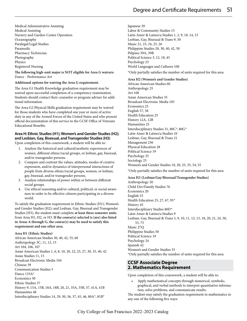Medical Administrative Assisting Medical Assisting Nursery and Garden-Center Operation **Oceanography** Paralegal/Legal Studies Paramedic Pharmacy Technician Photography Physics Registered Nursing

**The following high-unit major is NOT eligible for Area G waivers:** Dance - Performance Art

#### **Additional options for waiving the Area G requirement.**

The Area G1 Health Knowledge graduation requirement may be waived upon successful completion of a competency examination. Students should contact their counselor or program adviser for additional information.

The Area G2 Physical Skills graduation requirement may be waived for those students who have completed one year or more of active duty in any of the Armed Forces of the United States and who present official documentation of this service to the CCSF Office of Veterans Educational Benefits.

#### **Area H: Ethnic Studies (H1); Women's and Gender Studies (H2); and Lesbian, Gay, Bisexual, and Transgender Studies (H3)**

Upon completion of this coursework, a student will be able to:

- 1. Analyze the historical and cultural/aesthetic experiences of women, different ethnic/racial groups, or lesbian, gay, bisexual, and/or transgender persons.
- 2. Compare and contrast the values, attitudes, modes of creative expression, and/or dynamics of interpersonal interactions of people from diverse ethnic/racial groups, women, or lesbian, gay, bisexual, and/or transgender persons.
- 3. Analyze relationships of power within or between different social groups.
- 4. Use ethical reasoning and/or cultural, political, or social awareness in order to be effective citizens participating in a diverse world.

To satisfy the graduation requirement in Ethnic Studies (H1); Women's and Gender Studies (H2); and Lesbian, Gay, Bisexual and Transgender Studies (H3), the student must complete **at least three semester units** from Area H1, H2, or H3. **If the course(s) selected is (are) also listed in Areas A through G, the course(s) may be used to satisfy this requirement and one other area.**

#### **Area H1 (Ethnic Studies)**

African American Studies 30, 40, 42, 55, 60 Anthropology 3C, 11, 12, 15 Art 104, 106, 107 Asian American Studies 1, 6, 8, 10, 20, 22, 23, 27, 30, 35, 40, 42 Asian Studies 11, 15 Broadcast Electronic Media 104 Chinese 39 Communication Studies 5 Dance 133A\* Economics 30 Ethnic Studies 37 History 9, 15A, 15B, 18A, 18B, 20, 21, 35A, 35B, 37, 41A, 41B Humanities 48 Interdisciplinary Studies 14, 29, 30, 36, 37, 45, 46, 80A\*, 81B\*

Japanese 39 Labor & Community Studies 15 Latin Amer & Latino/a Studies 1, 2, 9, 10, 14, 15 Lesbian, Gay, Bisexual & Trans 9, 50 Music 21, 23, 24, 25, 26 Philippine Studies 20, 30, 40, 42, 50 Pilipino 39A, 39B Political Science 3, 12, 18, 45 Psychology 23 World Languages and Cultures 100

\*Only partially satisfies the number of units required for this area

#### **Area H2 (Women's and Gender Studies)**

African American Studies 60 Anthropology 25 Art 108 Asian American Studies 35 Broadcast Electronic Media 105 Economics 25 English 57, 58 Health Education 25 History 12A, 12B Humanities 25 Interdisciplinary Studies 31, 80C*\**, 80G*\** Latin Amer & Latino/a Studies 10 Lesbian, Gay, Bisexual & Trans 21 Management 236 Physical Education 28 Political Science 19 Psychology 25 Sociology 25 Women's and Gender Studies 10, 20, 25, 35, 54, 55

\*Only partially satisfies the number of units required for this area

#### **Area H3 (Lesbian/Gay/Bisexual/Transgender Studies)**

Anthropology 20 Child Dev/Family Studies 76 Economics 20 English 55 Health Education 25, 27, 67, 95*\** History 45 Interdisciplinary Studies 80D*\** Latin Amer & Latino/a Studies 9 Lesbian, Gay, Bisexual & Trans 5, 9, 10, 11, 12, 15, 18, 20, 21, 24, 50, 55, 75 Music 27Q Philippine Studies 50 Political Science 19 Psychology 24 Spanish 42 Women's and Gender Studies 35 \*Only partially satisfies the number of units required for this area

#### **CCSF Associate Degree 2. Mathematics Requirement**

Upon completion of this coursework, a student will be able to:

• Apply mathematical concepts through numerical, symbolic, graphical, and verbal methods to interpret quantitative information, solve problems, and communicate results.

The student may satisfy the graduation requirement in mathematics in any one of the following five ways: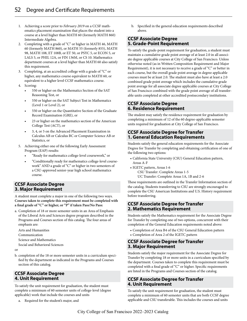- 1. Achieving a score prior to *February 2019* on a CCSF mathematics placement examination that places the student into a course at a level higher than MATH 60 (formerly MATH 860) Intermediate Algebra.
- 2. Completing with a grade of "C" or higher in MATH 46, MATH 60 (formerly MATH 860), or MATH 55 (formerly 855), MATH 98, MATH 108, ET 108B, or ET 50, or PSYC 5, or ECON 5, or LALS 5, or PHIL 12A, or FIN 136M, or CS 10. Mathematics department courses at a level higher than MATH 60 also satisfy this requirement.
- 3. Completing, at an accredited college with a grade of "C" or higher, any mathematics course equivalent to MATH 60, or equivalent to a higher level CCSF mathematics course.
- 4. Scoring:
	- 550 or higher on the Mathematics Section of the SAT Reasoning Test, or
	- 550 or higher on the SAT Subject Test in Mathematics (Level 1 or Level 2), or
	- 550 or higher on the Quantitative Section of the Graduate Record Examination (GRE), or
	- 23 or higher on the mathematics section of the American College Test (ACT), or
	- 3, 4, or 5 on the Advanced Placement Examination in Calculus AB or Calculus BC or Computer Science AB or Statistics, or
- 5. Achieving either one of the following Early Assessment Program (EAP) results:
	- "Ready for mathematics college-level coursework," or
	- "Conditionally ready for mathematics college-level coursework" AND a grade of "C" or higher in two semesters of a CSU-approved senior-year high school mathematics course.

### **CCSF Associate Degree 3. Major Requirement**

A student must complete a major in one of the following two ways. **Courses taken to complete this requirement must be completed with a final grade of "C" or higher, or "P" if taken Pass/No Pass:**

- a. Completion of 18 or more semester units in an Area of Emphasis of the Liberal Arts and Sciences degree program described in the Programs and Courses section of this catalog. The four areas of emphasis are:
	- Arts and Humanities
	- Communication
	- Science and Mathematics
	- Social and Behavioral Sciences

or

b. completion of the 18 or more semester units in a curriculum specified by the department as indicated in the Programs and Courses section of this catalog.

### **CCSF Associate Degree 4. Unit Requirement**

To satisfy the unit requirement for graduation, the student must complete a minimum of 60 semester units of college-level (degree applicable) work that include the courses and units

a. Required for the student's major, and

b. Specified in the general education requirements described above.

### **CCSF Associate Degree 5. Grade-Point Requirement**

To satisfy the grade-point requirement for graduation, a student must maintain a cumulative grade point average of at least 2.0 in all associate degree applicable courses at City College of San Francisco. Unless otherwise noted (as in Written Composition Requirement and Major Requirement), it is not necessary to receive a grade of "C" or better in each course, but the overall grade point average in degree applicable courses must be at least 2.0. The student must also have at least a 2.0 combined grade point average which includes the cumulative grade point average for all associate degree applicable courses at City College of San Francisco combined with the grade point average of all transferable units completed at other accredited postsecondary institutions.

### **CCSF Associate Degree 6. Residence Requirement**

The student may satisfy the residence requirement for graduation by completing a minimum of 12 of the 60 degree-applicable semester units required for graduation at City College of San Francisco.

### **CCSF Associate Degree for Transfer 1. General Education Requirements**

Students satisfy the general education requirements for the Associate Degree for Transfer by completing and obtaining certification of one of the following two options:

- California State University (CSU) General Education pattern, Areas A-F
- IGETC pattern, Areas 1-6 CSU Transfer: Complete Areas 1-5 UC Transfer: Complete Areas 1A, 1B and 2-6

These requirements are outlined in the Transfer Information section of the catalog. Students transferring to CSU are strongly encouraged to complete the CSU American Institutions and U.S. History requirement before transferring.

### **CCSF Associate Degree for Transfer 2. Mathematics Requirement**

Students satisfy the Mathematics requirement for the Associate Degree for Transfer by completing one of two options, concurrent with their completion of the General Education requirements noted above:

- Completion of Area B4 of the CSU General Education pattern
- Completion of Area 2 of the IGETC pattern

### **CCSF Associate Degree for Transfer 3. Major Requirement**

Students satisfy the major requirement for the Associate Degree for Transfer by completing 18 or more units in a curriculum specified by the department. Courses taken to complete this requirement must be completed with a final grade of "C" or higher. Specific requirements are listed in the Programs and Courses section of the catalog.

### **CCSF Associate Degree for Transfer 4. Unit Requirement**

To satisfy the unit requirement for graduation, the student must complete a minimum of 60 semester units that are both CCSF degree applicable and CSU transferable. This includes the courses and units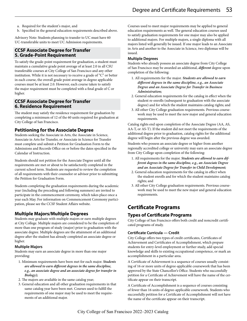- a. Required for the student's major, and
- b. Specified in the general education requirements described above.

Advisory Note: Students planning to transfer to UC must have 60 UC-transferable units to meet UC Admission requirements.

### **CCSF Associate Degree for Transfer 5. Grade-Point Requirement**

To satisfy the grade-point requirement for graduation, a student must maintain a cumulative grade point average of at least 2.0 in all CSU transferable courses at City College of San Francisco and any other institution. While it is not necessary to receive a grade of "C" or better in each course, the overall grade point average in degree applicable courses must be at least 2.0. However, each course taken to satisfy the major requirement must be completed with a final grade of C or higher.

### **CCSF Associate Degree for Transfer 6. Residence Requirement**

The student may satisfy the residence requirement for graduation by completing a minimum of 12 of the 60 units required for graduation at City College of San Francisco.

### **Petitioning for the Associate Degree**

Students seeking the Associate in Arts, the Associate in Science, Associate in Arts for Transfer, or Associate in Science for Transfer must complete and submit a Petition for Graduation Form to the Admissions and Records Office on or before the dates specified in the Calendar of Instruction.

Students should not petition for the Associate Degree until all the requirements are met or about to be satisfactorily completed in the current school term. Students are requested to review the completion of all requirements with their counselor or advisor prior to submitting the Petition for Graduation Form.

Students completing the graduation requirements during the academic year (including the preceding and following summers) are invited to participate in the commencement ceremony, which takes place once a year each May. For information on Commencement Ceremony participation, please see the CCSF Student Affairs website.

### **Multiple Majors/Multiple Degrees**

Students may graduate with multiple majors or earn multiple degrees at City College. Multiple majors are considered to be the completion of more than one program of study (major) prior to graduation with the associate degree. Multiple degrees are the attainment of an additional degree after the student has already completed an associate degree or higher.

#### **Multiple Majors**

Students may earn an associate degree in more than one major providing:

- 1. Minimum requirements have been met for each major. *Students are allowed to earn different degrees in the same discipline, e.g., an associate degree and an associate degree for transfer in Biology);*
- 2. The majors are available in the same catalog year;
- 3. General education and all other graduation requirements in that same catalog year have been met. Courses used to fulfill the requirements of one major may be used to meet the requirements of an additional major.

Courses used to meet major requirements may be applied to general education requirements as well. The general education courses used to satisfy graduation requirements for one major may also be applied to additional majors. For multiple majors, a single diploma with all majors listed will generally be issued. If one major leads to an Associate in Arts and another to the Associate in Science, two diplomas will be issued.

#### **Multiple Degrees**

Students who already possess an associate degree from City College of San Francisco may be awarded an additional, *different* degree upon completion of the following:

- 1. All requirements for the major. *Students are allowed to earn different degrees in the same discipline, e.g., an Associate Degree and an Associate Degree for Transfer in Business Administration;*
- 2. General education requirements for the catalog in effect when the student re-enrolls (subsequent to graduation with the associate degree) and for which the student maintains catalog rights; and
- 3. All other City College graduation requirements. Previous coursework may be used to meet the new major and general education requirements.

Catalog rights end upon completion of the Associate Degree (AA, AS, AA-T, or AS-T). If the student did not meet the requirements of the additional degree prior to graduation, catalog rights for the additional degree will begin after the previous degree was awarded.

Students who possess an associate degree or higher from another regionally accredited college or university may earn an associate degree from City College upon completion of the following:

- 1. All requirements for the major. *Students are allowed to earn different degrees in the same discipline, e.g., an Associate Degree and an Associate Degree for Transfer in Child Development;*
- 2. General education requirements for the catalog in effect when the student enrolls and for which the student maintains catalog rights; and
- 3. All other City College graduation requirements. Previous coursework may be used to meet the new major and general education requirements.

# **Certificate Programs**

### **Types of Certificate Programs**

City College of San Francisco offers both credit and noncredit certificated programs of study.

#### **Certificate Curricula — Credit**

City College offers two types of credit certificates, Certificates of Achievement and Certificates of Accomplishment, which prepare students for entry-level employment or further study, add special knowledge and skills to existing occupational competence, or mark an accomplishment in a particular area.

A Certificate of Achievement is a sequence of courses usually consisting of 16 or more units of degree-applicable coursework that has been approved by the State Chancellor's Office. Students who successfully petition for a Certificate of Achievement will have the name of the certificate appear on their transcript.

A Certificate of Accomplishment is a sequence of courses consisting of fewer than 16 units of degree-applicable coursework. Students who successfully petition for a Certificate of Accomplishment will not have the name of the certificate appear on their transcript.